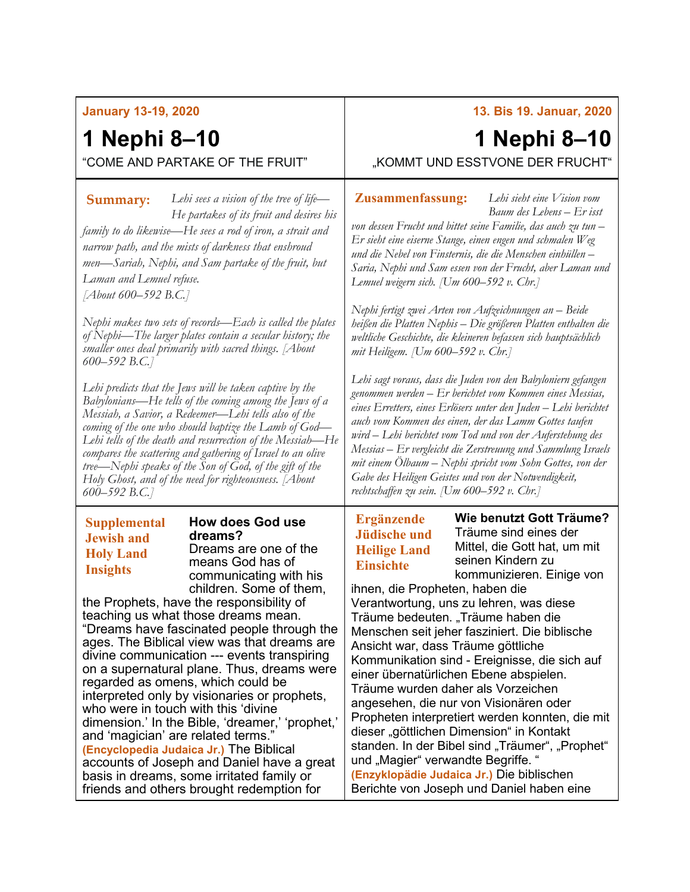| <b>January 13-19, 2020</b>                                                                                                                                                                                                                                                                                                                                                                                                                                                                                                                                                                                                                                                                                                                                                                                                                                                                                                                                                                                                                        | 13. Bis 19. Januar, 2020                                                                                                                                                                                                                                                                                                                                                                                                                                                                                                                                                                                                                                                                                                                                                                                                                                                                                                                                                                                                                                                                                                                                                                  |
|---------------------------------------------------------------------------------------------------------------------------------------------------------------------------------------------------------------------------------------------------------------------------------------------------------------------------------------------------------------------------------------------------------------------------------------------------------------------------------------------------------------------------------------------------------------------------------------------------------------------------------------------------------------------------------------------------------------------------------------------------------------------------------------------------------------------------------------------------------------------------------------------------------------------------------------------------------------------------------------------------------------------------------------------------|-------------------------------------------------------------------------------------------------------------------------------------------------------------------------------------------------------------------------------------------------------------------------------------------------------------------------------------------------------------------------------------------------------------------------------------------------------------------------------------------------------------------------------------------------------------------------------------------------------------------------------------------------------------------------------------------------------------------------------------------------------------------------------------------------------------------------------------------------------------------------------------------------------------------------------------------------------------------------------------------------------------------------------------------------------------------------------------------------------------------------------------------------------------------------------------------|
| 1 Nephi 8-10                                                                                                                                                                                                                                                                                                                                                                                                                                                                                                                                                                                                                                                                                                                                                                                                                                                                                                                                                                                                                                      | 1 Nephi 8–10                                                                                                                                                                                                                                                                                                                                                                                                                                                                                                                                                                                                                                                                                                                                                                                                                                                                                                                                                                                                                                                                                                                                                                              |
| "COME AND PARTAKE OF THE FRUIT"                                                                                                                                                                                                                                                                                                                                                                                                                                                                                                                                                                                                                                                                                                                                                                                                                                                                                                                                                                                                                   | "KOMMT UND ESSTVONE DER FRUCHT"                                                                                                                                                                                                                                                                                                                                                                                                                                                                                                                                                                                                                                                                                                                                                                                                                                                                                                                                                                                                                                                                                                                                                           |
| Lehi sees a vision of the tree of life-<br>Summary:<br>He partakes of its fruit and desires his<br>family to do likewise—He sees a rod of iron, a strait and<br>narrow path, and the mists of darkness that enshroud<br>men—Sariah, Nephi, and Sam partake of the fruit, but<br>Laman and Lemuel refuse.<br>[About 600–592 B.C.]<br>Nephi makes two sets of records—Each is called the plates<br>of Nephi-The larger plates contain a secular history; the<br>smaller ones deal primarily with sacred things. [About<br>600–592 B.C.]<br>Lehi predicts that the Jews will be taken captive by the<br>Babylonians—He tells of the coming among the Jews of a<br>Messiah, a Savior, a Redeemer—Lehi tells also of the<br>coming of the one who should baptize the Lamb of $God$ —<br>Lehi tells of the death and resurrection of the Messiah—He<br>compares the scattering and gathering of Israel to an olive<br>tree—Nephi speaks of the Son of God, of the gift of the<br>Holy Ghost, and of the need for righteousness. [About<br>600-592 B.C.] | <b>Zusammenfassung:</b><br>Lehi sieht eine Vision vom<br>Baum des Lebens – Er isst<br>von dessen Frucht und bittet seine Familie, das auch zu tun -<br>Er sieht eine eiserne Stange, einen engen und schmalen Weg<br>und die Nebel von Finsternis, die die Menschen einhüllen-<br>Saria, Nephi und Sam essen von der Frucht, aber Laman und<br>Lemuel weigern sich. [Um 600–592 v. Chr.]<br>Nephi fertigt zwei Arten von Aufzeichnungen an – Beide<br>heißen die Platten Nephis - Die größeren Platten enthalten die<br>weltliche Geschichte, die kleineren befassen sich hauptsächlich<br>mit Heiligem. [Um 600-592 v. Chr.]<br>Lehi sagt voraus, dass die Juden von den Babyloniern gefangen<br>genommen werden - Er berichtet vom Kommen eines Messias,<br>eines Erretters, eines Erlösers unter den Juden – Lehi berichtet<br>auch vom Kommen des einen, der das Lamm Gottes taufen<br>wird - Lehi berichtet vom Tod und von der Auferstehung des<br>Messias – Er vergleicht die Zerstreuung und Sammlung Israels<br>mit einem Ölbaum – Nephi spricht vom Sohn Gottes, von der<br>Gabe des Heiligen Geistes und von der Notwendigkeit,<br>rechtschaffen zu sein. [Um 600-592 v. Chr.] |
| <b>How does God use</b><br><b>Supplemental</b><br>dreams?<br><b>Jewish and</b><br>Dreams are one of the<br><b>Holy Land</b><br>means God has of<br><b>Insights</b><br>communicating with his<br>children. Some of them,<br>the Prophets, have the responsibility of<br>teaching us what those dreams mean.<br>"Dreams have fascinated people through the<br>ages. The Biblical view was that dreams are<br>divine communication --- events transpiring<br>on a supernatural plane. Thus, dreams were<br>regarded as omens, which could be<br>interpreted only by visionaries or prophets,<br>who were in touch with this 'divine<br>dimension.' In the Bible, 'dreamer,' 'prophet,'<br>and 'magician' are related terms."<br>(Encyclopedia Judaica Jr.) The Biblical<br>accounts of Joseph and Daniel have a great<br>basis in dreams, some irritated family or<br>friends and others brought redemption for                                                                                                                                      | <b>Wie benutzt Gott Träume?</b><br><b>Ergänzende</b><br>Träume sind eines der<br><b>Jüdische und</b><br>Mittel, die Gott hat, um mit<br><b>Heilige Land</b><br>seinen Kindern zu<br><b>Einsichte</b><br>kommunizieren. Einige von<br>ihnen, die Propheten, haben die<br>Verantwortung, uns zu lehren, was diese<br>Träume bedeuten. "Träume haben die<br>Menschen seit jeher fasziniert. Die biblische<br>Ansicht war, dass Träume göttliche<br>Kommunikation sind - Ereignisse, die sich auf<br>einer übernatürlichen Ebene abspielen.<br>Träume wurden daher als Vorzeichen<br>angesehen, die nur von Visionären oder<br>Propheten interpretiert werden konnten, die mit<br>dieser "göttlichen Dimension" in Kontakt<br>standen. In der Bibel sind "Träumer", "Prophet"<br>und "Magier" verwandte Begriffe. "<br>(Enzyklopädie Judaica Jr.) Die biblischen<br>Berichte von Joseph und Daniel haben eine                                                                                                                                                                                                                                                                                 |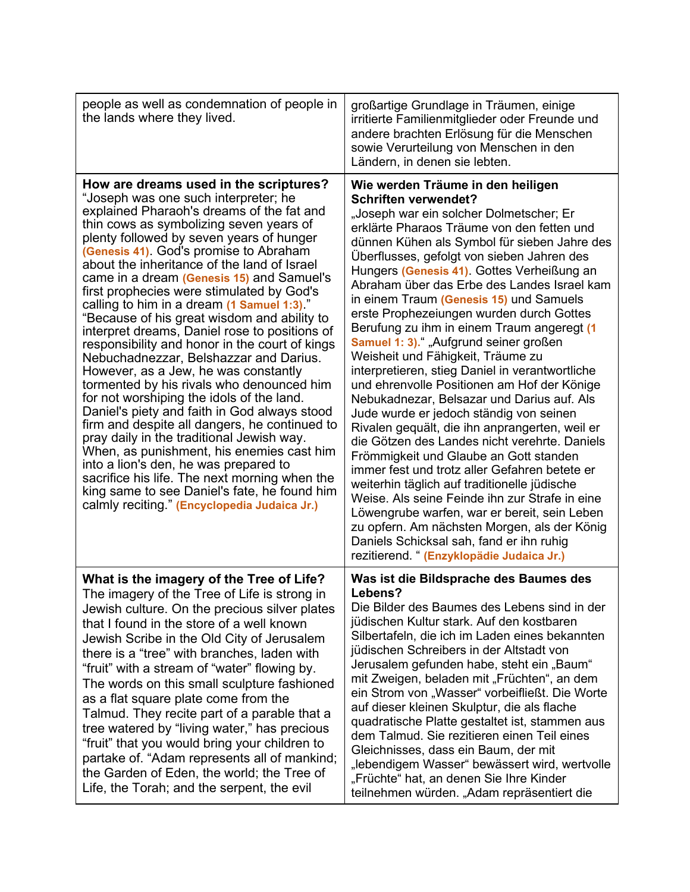| people as well as condemnation of people in<br>the lands where they lived.                                                                                                                                                                                                                                                                                                                                                                                                                                                                                                                                                                                                                                                                                                                                                                                                                                                                                                                                                                                                                                                                                            | großartige Grundlage in Träumen, einige<br>irritierte Familienmitglieder oder Freunde und<br>andere brachten Erlösung für die Menschen<br>sowie Verurteilung von Menschen in den<br>Ländern, in denen sie lebten.                                                                                                                                                                                                                                                                                                                                                                                                                                                                                                                                                                                                                                                                                                                                                                                                                                                                                                                                                                                                                                            |
|-----------------------------------------------------------------------------------------------------------------------------------------------------------------------------------------------------------------------------------------------------------------------------------------------------------------------------------------------------------------------------------------------------------------------------------------------------------------------------------------------------------------------------------------------------------------------------------------------------------------------------------------------------------------------------------------------------------------------------------------------------------------------------------------------------------------------------------------------------------------------------------------------------------------------------------------------------------------------------------------------------------------------------------------------------------------------------------------------------------------------------------------------------------------------|--------------------------------------------------------------------------------------------------------------------------------------------------------------------------------------------------------------------------------------------------------------------------------------------------------------------------------------------------------------------------------------------------------------------------------------------------------------------------------------------------------------------------------------------------------------------------------------------------------------------------------------------------------------------------------------------------------------------------------------------------------------------------------------------------------------------------------------------------------------------------------------------------------------------------------------------------------------------------------------------------------------------------------------------------------------------------------------------------------------------------------------------------------------------------------------------------------------------------------------------------------------|
| How are dreams used in the scriptures?<br>"Joseph was one such interpreter; he<br>explained Pharaoh's dreams of the fat and<br>thin cows as symbolizing seven years of<br>plenty followed by seven years of hunger<br>(Genesis 41). God's promise to Abraham<br>about the inheritance of the land of Israel<br>came in a dream (Genesis 15) and Samuel's<br>first prophecies were stimulated by God's<br>calling to him in a dream (1 Samuel 1:3)"<br>"Because of his great wisdom and ability to<br>interpret dreams, Daniel rose to positions of<br>responsibility and honor in the court of kings<br>Nebuchadnezzar, Belshazzar and Darius.<br>However, as a Jew, he was constantly<br>tormented by his rivals who denounced him<br>for not worshiping the idols of the land.<br>Daniel's piety and faith in God always stood<br>firm and despite all dangers, he continued to<br>pray daily in the traditional Jewish way.<br>When, as punishment, his enemies cast him<br>into a lion's den, he was prepared to<br>sacrifice his life. The next morning when the<br>king same to see Daniel's fate, he found him<br>calmly reciting." (Encyclopedia Judaica Jr.) | Wie werden Träume in den heiligen<br><b>Schriften verwendet?</b><br>"Joseph war ein solcher Dolmetscher; Er<br>erklärte Pharaos Träume von den fetten und<br>dünnen Kühen als Symbol für sieben Jahre des<br>Überflusses, gefolgt von sieben Jahren des<br>Hungers (Genesis 41). Gottes Verheißung an<br>Abraham über das Erbe des Landes Israel kam<br>in einem Traum (Genesis 15) und Samuels<br>erste Prophezeiungen wurden durch Gottes<br>Berufung zu ihm in einem Traum angeregt (1<br>Samuel 1: 3)." "Aufgrund seiner großen<br>Weisheit und Fähigkeit, Träume zu<br>interpretieren, stieg Daniel in verantwortliche<br>und ehrenvolle Positionen am Hof der Könige<br>Nebukadnezar, Belsazar und Darius auf. Als<br>Jude wurde er jedoch ständig von seinen<br>Rivalen gequält, die ihn anprangerten, weil er<br>die Götzen des Landes nicht verehrte. Daniels<br>Frömmigkeit und Glaube an Gott standen<br>immer fest und trotz aller Gefahren betete er<br>weiterhin täglich auf traditionelle jüdische<br>Weise. Als seine Feinde ihn zur Strafe in eine<br>Löwengrube warfen, war er bereit, sein Leben<br>zu opfern. Am nächsten Morgen, als der König<br>Daniels Schicksal sah, fand er ihn ruhig<br>rezitierend. " (Enzyklopädie Judaica Jr.) |
| What is the imagery of the Tree of Life?<br>The imagery of the Tree of Life is strong in<br>Jewish culture. On the precious silver plates<br>that I found in the store of a well known<br>Jewish Scribe in the Old City of Jerusalem<br>there is a "tree" with branches, laden with<br>"fruit" with a stream of "water" flowing by.<br>The words on this small sculpture fashioned<br>as a flat square plate come from the<br>Talmud. They recite part of a parable that a<br>tree watered by "living water," has precious<br>"fruit" that you would bring your children to<br>partake of. "Adam represents all of mankind;<br>the Garden of Eden, the world; the Tree of<br>Life, the Torah; and the serpent, the evil                                                                                                                                                                                                                                                                                                                                                                                                                                               | Was ist die Bildsprache des Baumes des<br>Lebens?<br>Die Bilder des Baumes des Lebens sind in der<br>jüdischen Kultur stark. Auf den kostbaren<br>Silbertafeln, die ich im Laden eines bekannten<br>jüdischen Schreibers in der Altstadt von<br>Jerusalem gefunden habe, steht ein "Baum"<br>mit Zweigen, beladen mit "Früchten", an dem<br>ein Strom von "Wasser" vorbeifließt. Die Worte<br>auf dieser kleinen Skulptur, die als flache<br>quadratische Platte gestaltet ist, stammen aus<br>dem Talmud. Sie rezitieren einen Teil eines<br>Gleichnisses, dass ein Baum, der mit<br>"lebendigem Wasser" bewässert wird, wertvolle<br>"Früchte" hat, an denen Sie Ihre Kinder<br>teilnehmen würden. "Adam repräsentiert die                                                                                                                                                                                                                                                                                                                                                                                                                                                                                                                                 |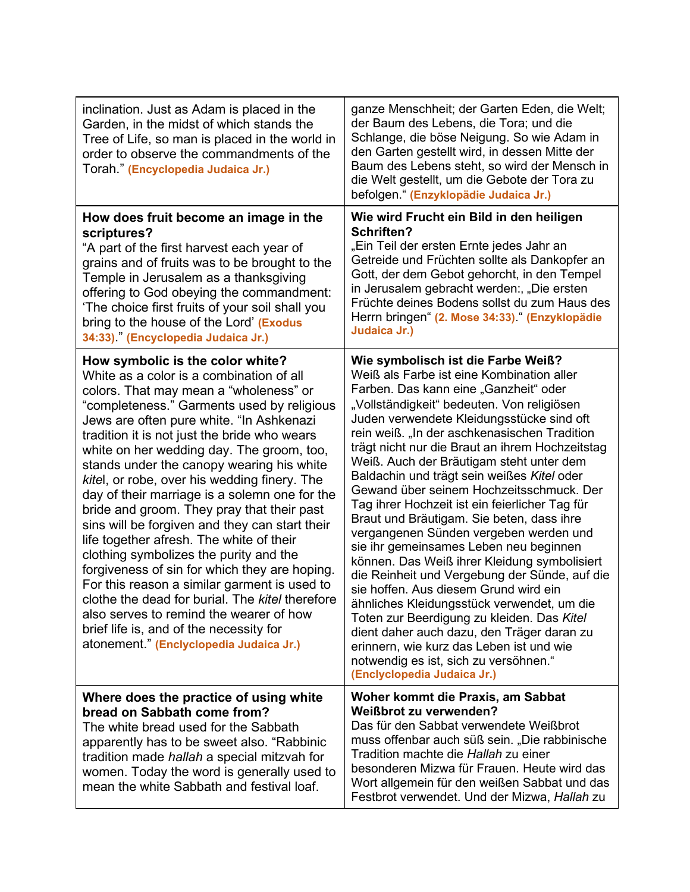| inclination. Just as Adam is placed in the<br>Garden, in the midst of which stands the<br>Tree of Life, so man is placed in the world in<br>order to observe the commandments of the<br>Torah." (Encyclopedia Judaica Jr.)                                                                                                                                                                                                                                                                                                                                                                                                                                                                                                                                                                                                                                                                                                             | ganze Menschheit; der Garten Eden, die Welt;<br>der Baum des Lebens, die Tora; und die<br>Schlange, die böse Neigung. So wie Adam in<br>den Garten gestellt wird, in dessen Mitte der<br>Baum des Lebens steht, so wird der Mensch in<br>die Welt gestellt, um die Gebote der Tora zu<br>befolgen." (Enzyklopädie Judaica Jr.)                                                                                                                                                                                                                                                                                                                                                                                                                                                                                                                                                                                                                                                                                                                          |
|----------------------------------------------------------------------------------------------------------------------------------------------------------------------------------------------------------------------------------------------------------------------------------------------------------------------------------------------------------------------------------------------------------------------------------------------------------------------------------------------------------------------------------------------------------------------------------------------------------------------------------------------------------------------------------------------------------------------------------------------------------------------------------------------------------------------------------------------------------------------------------------------------------------------------------------|---------------------------------------------------------------------------------------------------------------------------------------------------------------------------------------------------------------------------------------------------------------------------------------------------------------------------------------------------------------------------------------------------------------------------------------------------------------------------------------------------------------------------------------------------------------------------------------------------------------------------------------------------------------------------------------------------------------------------------------------------------------------------------------------------------------------------------------------------------------------------------------------------------------------------------------------------------------------------------------------------------------------------------------------------------|
| How does fruit become an image in the<br>scriptures?<br>"A part of the first harvest each year of<br>grains and of fruits was to be brought to the<br>Temple in Jerusalem as a thanksgiving<br>offering to God obeying the commandment:<br>'The choice first fruits of your soil shall you<br>bring to the house of the Lord' (Exodus<br>34:33) " (Encyclopedia Judaica Jr.)                                                                                                                                                                                                                                                                                                                                                                                                                                                                                                                                                           | Wie wird Frucht ein Bild in den heiligen<br>Schriften?<br>"Ein Teil der ersten Ernte jedes Jahr an<br>Getreide und Früchten sollte als Dankopfer an<br>Gott, der dem Gebot gehorcht, in den Tempel<br>in Jerusalem gebracht werden:, "Die ersten<br>Früchte deines Bodens sollst du zum Haus des<br>Herrn bringen" (2. Mose 34:33)." (Enzyklopädie<br>Judaica Jr.)                                                                                                                                                                                                                                                                                                                                                                                                                                                                                                                                                                                                                                                                                      |
| How symbolic is the color white?<br>White as a color is a combination of all<br>colors. That may mean a "wholeness" or<br>"completeness." Garments used by religious<br>Jews are often pure white. "In Ashkenazi<br>tradition it is not just the bride who wears<br>white on her wedding day. The groom, too,<br>stands under the canopy wearing his white<br>kitel, or robe, over his wedding finery. The<br>day of their marriage is a solemn one for the<br>bride and groom. They pray that their past<br>sins will be forgiven and they can start their<br>life together afresh. The white of their<br>clothing symbolizes the purity and the<br>forgiveness of sin for which they are hoping.<br>For this reason a similar garment is used to<br>clothe the dead for burial. The kitel therefore<br>also serves to remind the wearer of how<br>brief life is, and of the necessity for<br>atonement." (Enclyclopedia Judaica Jr.) | Wie symbolisch ist die Farbe Weiß?<br>Weiß als Farbe ist eine Kombination aller<br>Farben. Das kann eine "Ganzheit" oder<br>"Vollständigkeit" bedeuten. Von religiösen<br>Juden verwendete Kleidungsstücke sind oft<br>rein weiß. "In der aschkenasischen Tradition<br>trägt nicht nur die Braut an ihrem Hochzeitstag<br>Weiß. Auch der Bräutigam steht unter dem<br>Baldachin und trägt sein weißes Kitel oder<br>Gewand über seinem Hochzeitsschmuck. Der<br>Tag ihrer Hochzeit ist ein feierlicher Tag für<br>Braut und Bräutigam. Sie beten, dass ihre<br>vergangenen Sünden vergeben werden und<br>sie ihr gemeinsames Leben neu beginnen<br>können. Das Weiß ihrer Kleidung symbolisiert<br>die Reinheit und Vergebung der Sünde, auf die<br>sie hoffen. Aus diesem Grund wird ein<br>ähnliches Kleidungsstück verwendet, um die<br>Toten zur Beerdigung zu kleiden. Das Kitel<br>dient daher auch dazu, den Träger daran zu<br>erinnern, wie kurz das Leben ist und wie<br>notwendig es ist, sich zu versöhnen."<br>(Enclyclopedia Judaica Jr.) |
| Where does the practice of using white<br>bread on Sabbath come from?<br>The white bread used for the Sabbath<br>apparently has to be sweet also. "Rabbinic<br>tradition made hallah a special mitzvah for<br>women. Today the word is generally used to<br>mean the white Sabbath and festival loaf.                                                                                                                                                                                                                                                                                                                                                                                                                                                                                                                                                                                                                                  | Woher kommt die Praxis, am Sabbat<br>Weißbrot zu verwenden?<br>Das für den Sabbat verwendete Weißbrot<br>muss offenbar auch süß sein. "Die rabbinische<br>Tradition machte die Hallah zu einer<br>besonderen Mizwa für Frauen. Heute wird das<br>Wort allgemein für den weißen Sabbat und das<br>Festbrot verwendet. Und der Mizwa, Hallah zu                                                                                                                                                                                                                                                                                                                                                                                                                                                                                                                                                                                                                                                                                                           |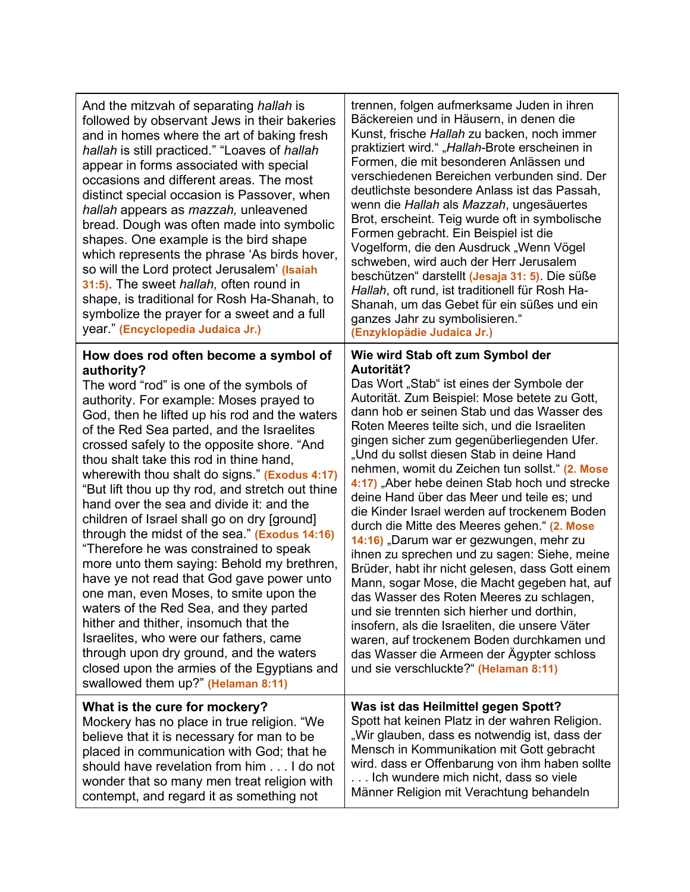| And the mitzvah of separating hallah is<br>followed by observant Jews in their bakeries<br>and in homes where the art of baking fresh<br>hallah is still practiced." "Loaves of hallah<br>appear in forms associated with special<br>occasions and different areas. The most<br>distinct special occasion is Passover, when<br>hallah appears as mazzah, unleavened<br>bread. Dough was often made into symbolic<br>shapes. One example is the bird shape<br>which represents the phrase 'As birds hover,<br>so will the Lord protect Jerusalem' (Isaiah<br>31:5). The sweet hallah, often round in<br>shape, is traditional for Rosh Ha-Shanah, to<br>symbolize the prayer for a sweet and a full<br>year." (Encyclopedia Judaica Jr.) | trennen, folgen aufmerksame Juden in ihren<br>Bäckereien und in Häusern, in denen die<br>Kunst, frische Hallah zu backen, noch immer<br>praktiziert wird." "Hallah-Brote erscheinen in<br>Formen, die mit besonderen Anlässen und<br>verschiedenen Bereichen verbunden sind. Der<br>deutlichste besondere Anlass ist das Passah,<br>wenn die Hallah als Mazzah, ungesäuertes<br>Brot, erscheint. Teig wurde oft in symbolische<br>Formen gebracht. Ein Beispiel ist die<br>Vogelform, die den Ausdruck "Wenn Vögel<br>schweben, wird auch der Herr Jerusalem<br>beschützen" darstellt (Jesaja 31: 5). Die süße<br>Hallah, oft rund, ist traditionell für Rosh Ha-<br>Shanah, um das Gebet für ein süßes und ein<br>ganzes Jahr zu symbolisieren."<br>(Enzyklopädie Judaica Jr.) |
|-----------------------------------------------------------------------------------------------------------------------------------------------------------------------------------------------------------------------------------------------------------------------------------------------------------------------------------------------------------------------------------------------------------------------------------------------------------------------------------------------------------------------------------------------------------------------------------------------------------------------------------------------------------------------------------------------------------------------------------------|---------------------------------------------------------------------------------------------------------------------------------------------------------------------------------------------------------------------------------------------------------------------------------------------------------------------------------------------------------------------------------------------------------------------------------------------------------------------------------------------------------------------------------------------------------------------------------------------------------------------------------------------------------------------------------------------------------------------------------------------------------------------------------|
| How does rod often become a symbol of                                                                                                                                                                                                                                                                                                                                                                                                                                                                                                                                                                                                                                                                                                   | Wie wird Stab oft zum Symbol der                                                                                                                                                                                                                                                                                                                                                                                                                                                                                                                                                                                                                                                                                                                                                |
| authority?                                                                                                                                                                                                                                                                                                                                                                                                                                                                                                                                                                                                                                                                                                                              | Autorität?                                                                                                                                                                                                                                                                                                                                                                                                                                                                                                                                                                                                                                                                                                                                                                      |
| The word "rod" is one of the symbols of                                                                                                                                                                                                                                                                                                                                                                                                                                                                                                                                                                                                                                                                                                 | Das Wort "Stab" ist eines der Symbole der                                                                                                                                                                                                                                                                                                                                                                                                                                                                                                                                                                                                                                                                                                                                       |
| authority. For example: Moses prayed to                                                                                                                                                                                                                                                                                                                                                                                                                                                                                                                                                                                                                                                                                                 | Autorität. Zum Beispiel: Mose betete zu Gott,                                                                                                                                                                                                                                                                                                                                                                                                                                                                                                                                                                                                                                                                                                                                   |
| God, then he lifted up his rod and the waters                                                                                                                                                                                                                                                                                                                                                                                                                                                                                                                                                                                                                                                                                           | dann hob er seinen Stab und das Wasser des                                                                                                                                                                                                                                                                                                                                                                                                                                                                                                                                                                                                                                                                                                                                      |
| of the Red Sea parted, and the Israelites                                                                                                                                                                                                                                                                                                                                                                                                                                                                                                                                                                                                                                                                                               | Roten Meeres teilte sich, und die Israeliten                                                                                                                                                                                                                                                                                                                                                                                                                                                                                                                                                                                                                                                                                                                                    |
| crossed safely to the opposite shore. "And                                                                                                                                                                                                                                                                                                                                                                                                                                                                                                                                                                                                                                                                                              | gingen sicher zum gegenüberliegenden Ufer.                                                                                                                                                                                                                                                                                                                                                                                                                                                                                                                                                                                                                                                                                                                                      |
| thou shalt take this rod in thine hand,                                                                                                                                                                                                                                                                                                                                                                                                                                                                                                                                                                                                                                                                                                 | "Und du sollst diesen Stab in deine Hand                                                                                                                                                                                                                                                                                                                                                                                                                                                                                                                                                                                                                                                                                                                                        |
| wherewith thou shalt do signs." (Exodus 4:17)                                                                                                                                                                                                                                                                                                                                                                                                                                                                                                                                                                                                                                                                                           | nehmen, womit du Zeichen tun sollst." (2. Mose                                                                                                                                                                                                                                                                                                                                                                                                                                                                                                                                                                                                                                                                                                                                  |
| "But lift thou up thy rod, and stretch out thine                                                                                                                                                                                                                                                                                                                                                                                                                                                                                                                                                                                                                                                                                        | 4:17) "Aber hebe deinen Stab hoch und strecke                                                                                                                                                                                                                                                                                                                                                                                                                                                                                                                                                                                                                                                                                                                                   |
| hand over the sea and divide it: and the                                                                                                                                                                                                                                                                                                                                                                                                                                                                                                                                                                                                                                                                                                | deine Hand über das Meer und teile es; und                                                                                                                                                                                                                                                                                                                                                                                                                                                                                                                                                                                                                                                                                                                                      |
| children of Israel shall go on dry [ground]                                                                                                                                                                                                                                                                                                                                                                                                                                                                                                                                                                                                                                                                                             | die Kinder Israel werden auf trockenem Boden                                                                                                                                                                                                                                                                                                                                                                                                                                                                                                                                                                                                                                                                                                                                    |
| through the midst of the sea." (Exodus 14:16)                                                                                                                                                                                                                                                                                                                                                                                                                                                                                                                                                                                                                                                                                           | durch die Mitte des Meeres gehen." (2. Mose                                                                                                                                                                                                                                                                                                                                                                                                                                                                                                                                                                                                                                                                                                                                     |
| "Therefore he was constrained to speak                                                                                                                                                                                                                                                                                                                                                                                                                                                                                                                                                                                                                                                                                                  | 14:16) "Darum war er gezwungen, mehr zu                                                                                                                                                                                                                                                                                                                                                                                                                                                                                                                                                                                                                                                                                                                                         |
| more unto them saying: Behold my brethren,                                                                                                                                                                                                                                                                                                                                                                                                                                                                                                                                                                                                                                                                                              | ihnen zu sprechen und zu sagen: Siehe, meine                                                                                                                                                                                                                                                                                                                                                                                                                                                                                                                                                                                                                                                                                                                                    |
| have ye not read that God gave power unto                                                                                                                                                                                                                                                                                                                                                                                                                                                                                                                                                                                                                                                                                               | Brüder, habt ihr nicht gelesen, dass Gott einem                                                                                                                                                                                                                                                                                                                                                                                                                                                                                                                                                                                                                                                                                                                                 |
| one man, even Moses, to smite upon the                                                                                                                                                                                                                                                                                                                                                                                                                                                                                                                                                                                                                                                                                                  | Mann, sogar Mose, die Macht gegeben hat, auf                                                                                                                                                                                                                                                                                                                                                                                                                                                                                                                                                                                                                                                                                                                                    |
| waters of the Red Sea, and they parted                                                                                                                                                                                                                                                                                                                                                                                                                                                                                                                                                                                                                                                                                                  | das Wasser des Roten Meeres zu schlagen.                                                                                                                                                                                                                                                                                                                                                                                                                                                                                                                                                                                                                                                                                                                                        |
| hither and thither, insomuch that the                                                                                                                                                                                                                                                                                                                                                                                                                                                                                                                                                                                                                                                                                                   | und sie trennten sich hierher und dorthin,                                                                                                                                                                                                                                                                                                                                                                                                                                                                                                                                                                                                                                                                                                                                      |
| Israelites, who were our fathers, came                                                                                                                                                                                                                                                                                                                                                                                                                                                                                                                                                                                                                                                                                                  | insofern, als die Israeliten, die unsere Väter                                                                                                                                                                                                                                                                                                                                                                                                                                                                                                                                                                                                                                                                                                                                  |
| through upon dry ground, and the waters                                                                                                                                                                                                                                                                                                                                                                                                                                                                                                                                                                                                                                                                                                 | waren, auf trockenem Boden durchkamen und                                                                                                                                                                                                                                                                                                                                                                                                                                                                                                                                                                                                                                                                                                                                       |
| closed upon the armies of the Egyptians and                                                                                                                                                                                                                                                                                                                                                                                                                                                                                                                                                                                                                                                                                             | das Wasser die Armeen der Ägypter schloss                                                                                                                                                                                                                                                                                                                                                                                                                                                                                                                                                                                                                                                                                                                                       |
| swallowed them up?" (Helaman 8:11)                                                                                                                                                                                                                                                                                                                                                                                                                                                                                                                                                                                                                                                                                                      | und sie verschluckte?" (Helaman 8:11)                                                                                                                                                                                                                                                                                                                                                                                                                                                                                                                                                                                                                                                                                                                                           |
| What is the cure for mockery?                                                                                                                                                                                                                                                                                                                                                                                                                                                                                                                                                                                                                                                                                                           | Was ist das Heilmittel gegen Spott?                                                                                                                                                                                                                                                                                                                                                                                                                                                                                                                                                                                                                                                                                                                                             |
| Mockery has no place in true religion. "We                                                                                                                                                                                                                                                                                                                                                                                                                                                                                                                                                                                                                                                                                              | Spott hat keinen Platz in der wahren Religion.                                                                                                                                                                                                                                                                                                                                                                                                                                                                                                                                                                                                                                                                                                                                  |
| believe that it is necessary for man to be                                                                                                                                                                                                                                                                                                                                                                                                                                                                                                                                                                                                                                                                                              | "Wir glauben, dass es notwendig ist, dass der                                                                                                                                                                                                                                                                                                                                                                                                                                                                                                                                                                                                                                                                                                                                   |
| placed in communication with God; that he                                                                                                                                                                                                                                                                                                                                                                                                                                                                                                                                                                                                                                                                                               | Mensch in Kommunikation mit Gott gebracht                                                                                                                                                                                                                                                                                                                                                                                                                                                                                                                                                                                                                                                                                                                                       |
| should have revelation from him I do not                                                                                                                                                                                                                                                                                                                                                                                                                                                                                                                                                                                                                                                                                                | wird. dass er Offenbarung von ihm haben sollte                                                                                                                                                                                                                                                                                                                                                                                                                                                                                                                                                                                                                                                                                                                                  |
| wonder that so many men treat religion with                                                                                                                                                                                                                                                                                                                                                                                                                                                                                                                                                                                                                                                                                             | Ich wundere mich nicht, dass so viele                                                                                                                                                                                                                                                                                                                                                                                                                                                                                                                                                                                                                                                                                                                                           |
| contempt, and regard it as something not                                                                                                                                                                                                                                                                                                                                                                                                                                                                                                                                                                                                                                                                                                | Männer Religion mit Verachtung behandeln                                                                                                                                                                                                                                                                                                                                                                                                                                                                                                                                                                                                                                                                                                                                        |